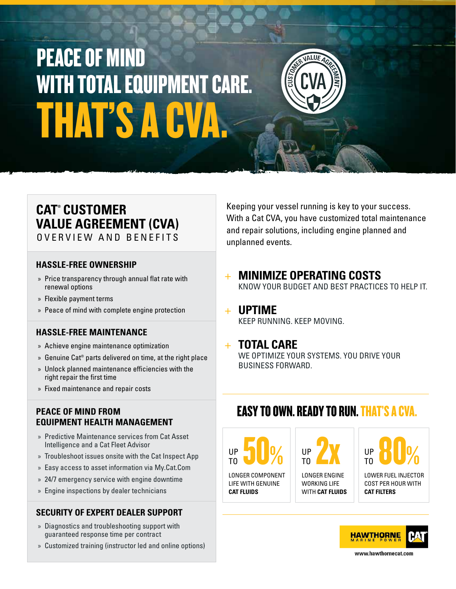# THAT'S A CV PEACE OF MIND WITH TOTAL EQUIPMENT CARE.



### **CAT® CUSTOMER VALUE AGREEMENT (CVA)** OVERVIEW AND BENEFITS

### **HASSLE-FREE OWNERSHIP**

- » Price transparency through annual flat rate with renewal options
- » Flexible payment terms
- » Peace of mind with complete engine protection

### **HASSLE-FREE MAINTENANCE**

- » Achieve engine maintenance optimization
- » Genuine Cat® parts delivered on time, at the right place
- » Unlock planned maintenance efficiencies with the right repair the first time
- » Fixed maintenance and repair costs

### **PEACE OF MIND FROM EQUIPMENT HEALTH MANAGEMENT**

- » Predictive Maintenance services from Cat Asset Intelligence and a Cat Fleet Advisor
- » Troubleshoot issues onsite with the Cat Inspect App
- » Easy access to asset information via My.Cat.Com
- » 24/7 emergency service with engine downtime
- » Engine inspections by dealer technicians

### **SECURITY OF EXPERT DEALER SUPPORT**

- » Diagnostics and troubleshooting support with guaranteed response time per contract
- » Customized training (instructor led and online options)

Keeping your vessel running is key to your success. With a Cat CVA, you have customized total maintenance and repair solutions, including engine planned and unplanned events.

- + **MINIMIZE OPERATING COSTS** KNOW YOUR BUDGET AND BEST PRACTICES TO HELP IT.
- + **UPTIME** KEEP RUNNING. KEEP MOVING.

### + **TOTAL CARE**

WE OPTIMIZE YOUR SYSTEMS. YOU DRIVE YOUR BUSINESS FORWARD.

### EASY TO OWN. READY TO RUN. THAT'S A CVA.

LONGER COMPONENT UP 50% TO

LIFE WITH GENUINE **CAT FLUIDS**

UP 2X TO

LONGER ENGINE WORKING LIFE WITH **CAT FLUIDS** UP 80% TO

LOWER FUEL INJECTOR COST PER HOUR WITH **CAT FILTERS**



www.hawthornecat.com